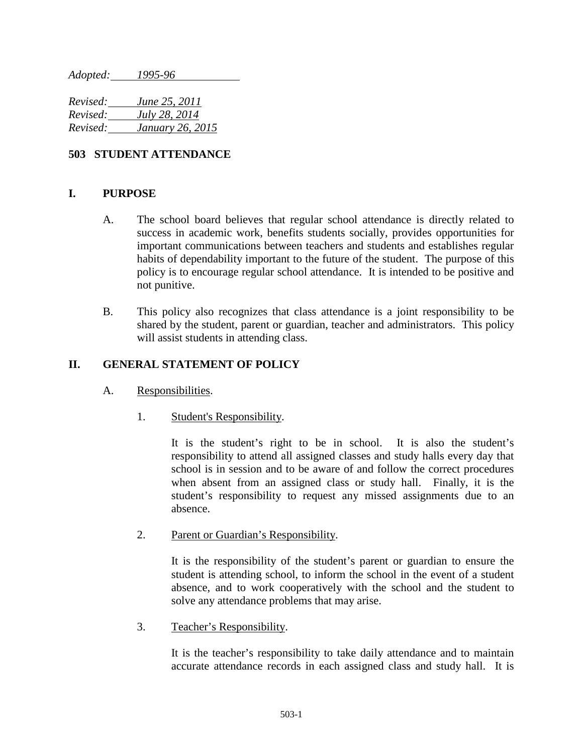*Adopted: 1995-96*

*Revised: June 25, 2011 Revised: July 28, 2014 Revised: January 26, 2015*

# **503 STUDENT ATTENDANCE**

# **I. PURPOSE**

- A. The school board believes that regular school attendance is directly related to success in academic work, benefits students socially, provides opportunities for important communications between teachers and students and establishes regular habits of dependability important to the future of the student. The purpose of this policy is to encourage regular school attendance. It is intended to be positive and not punitive.
- B. This policy also recognizes that class attendance is a joint responsibility to be shared by the student, parent or guardian, teacher and administrators. This policy will assist students in attending class.

# **II. GENERAL STATEMENT OF POLICY**

- A. Responsibilities.
	- 1. Student's Responsibility.

It is the student's right to be in school. It is also the student's responsibility to attend all assigned classes and study halls every day that school is in session and to be aware of and follow the correct procedures when absent from an assigned class or study hall. Finally, it is the student's responsibility to request any missed assignments due to an absence.

2. Parent or Guardian's Responsibility.

It is the responsibility of the student's parent or guardian to ensure the student is attending school, to inform the school in the event of a student absence, and to work cooperatively with the school and the student to solve any attendance problems that may arise.

3. Teacher's Responsibility.

It is the teacher's responsibility to take daily attendance and to maintain accurate attendance records in each assigned class and study hall. It is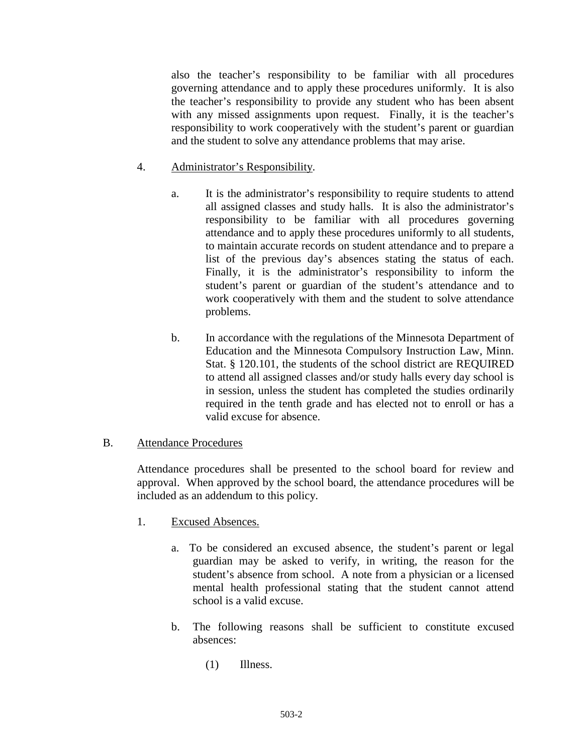also the teacher's responsibility to be familiar with all procedures governing attendance and to apply these procedures uniformly. It is also the teacher's responsibility to provide any student who has been absent with any missed assignments upon request. Finally, it is the teacher's responsibility to work cooperatively with the student's parent or guardian and the student to solve any attendance problems that may arise.

# 4. Administrator's Responsibility.

- a. It is the administrator's responsibility to require students to attend all assigned classes and study halls. It is also the administrator's responsibility to be familiar with all procedures governing attendance and to apply these procedures uniformly to all students, to maintain accurate records on student attendance and to prepare a list of the previous day's absences stating the status of each. Finally, it is the administrator's responsibility to inform the student's parent or guardian of the student's attendance and to work cooperatively with them and the student to solve attendance problems.
- b. In accordance with the regulations of the Minnesota Department of Education and the Minnesota Compulsory Instruction Law, Minn. Stat. § 120.101, the students of the school district are REQUIRED to attend all assigned classes and/or study halls every day school is in session, unless the student has completed the studies ordinarily required in the tenth grade and has elected not to enroll or has a valid excuse for absence.

# B. Attendance Procedures

Attendance procedures shall be presented to the school board for review and approval. When approved by the school board, the attendance procedures will be included as an addendum to this policy.

- 1. Excused Absences.
	- a. To be considered an excused absence, the student's parent or legal guardian may be asked to verify, in writing, the reason for the student's absence from school. A note from a physician or a licensed mental health professional stating that the student cannot attend school is a valid excuse.
	- b. The following reasons shall be sufficient to constitute excused absences:
		- (1) Illness.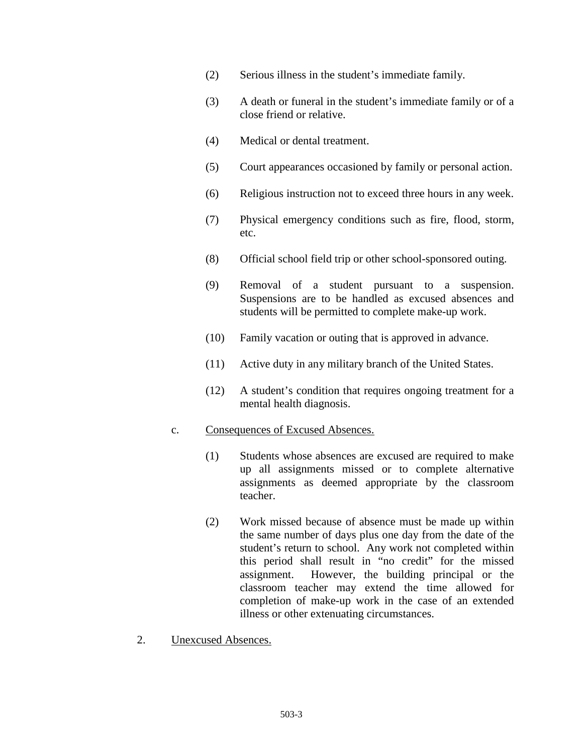- (2) Serious illness in the student's immediate family.
- (3) A death or funeral in the student's immediate family or of a close friend or relative.
- (4) Medical or dental treatment.
- (5) Court appearances occasioned by family or personal action.
- (6) Religious instruction not to exceed three hours in any week.
- (7) Physical emergency conditions such as fire, flood, storm, etc.
- (8) Official school field trip or other school-sponsored outing.
- (9) Removal of a student pursuant to a suspension. Suspensions are to be handled as excused absences and students will be permitted to complete make-up work.
- (10) Family vacation or outing that is approved in advance.
- (11) Active duty in any military branch of the United States.
- (12) A student's condition that requires ongoing treatment for a mental health diagnosis.

#### c. Consequences of Excused Absences.

- (1) Students whose absences are excused are required to make up all assignments missed or to complete alternative assignments as deemed appropriate by the classroom teacher.
- (2) Work missed because of absence must be made up within the same number of days plus one day from the date of the student's return to school. Any work not completed within this period shall result in "no credit" for the missed assignment. However, the building principal or the classroom teacher may extend the time allowed for completion of make-up work in the case of an extended illness or other extenuating circumstances.
- 2. Unexcused Absences.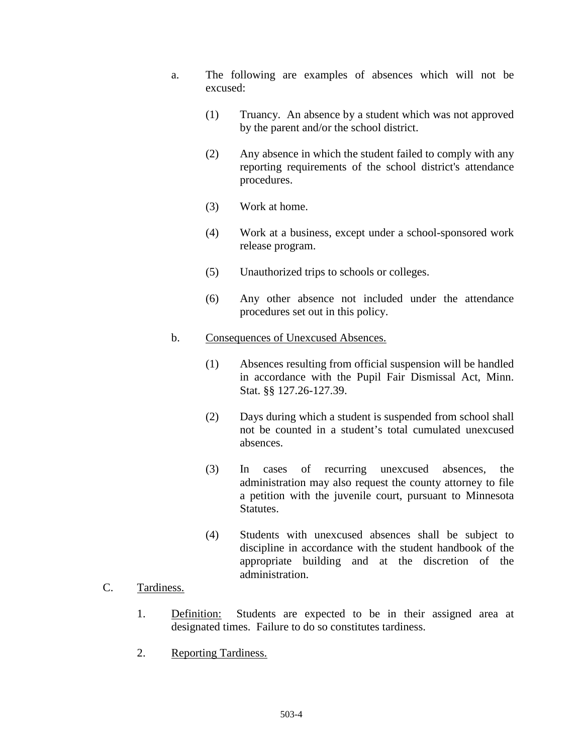- a. The following are examples of absences which will not be excused:
	- (1) Truancy. An absence by a student which was not approved by the parent and/or the school district.
	- (2) Any absence in which the student failed to comply with any reporting requirements of the school district's attendance procedures.
	- (3) Work at home.
	- (4) Work at a business, except under a school-sponsored work release program.
	- (5) Unauthorized trips to schools or colleges.
	- (6) Any other absence not included under the attendance procedures set out in this policy.
- b. Consequences of Unexcused Absences.
	- (1) Absences resulting from official suspension will be handled in accordance with the Pupil Fair Dismissal Act, Minn. Stat. §§ 127.26-127.39.
	- (2) Days during which a student is suspended from school shall not be counted in a student's total cumulated unexcused absences.
	- (3) In cases of recurring unexcused absences, the administration may also request the county attorney to file a petition with the juvenile court, pursuant to Minnesota Statutes.
	- (4) Students with unexcused absences shall be subject to discipline in accordance with the student handbook of the appropriate building and at the discretion of the administration.

# C. Tardiness.

- 1. Definition: Students are expected to be in their assigned area at designated times. Failure to do so constitutes tardiness.
- 2. Reporting Tardiness.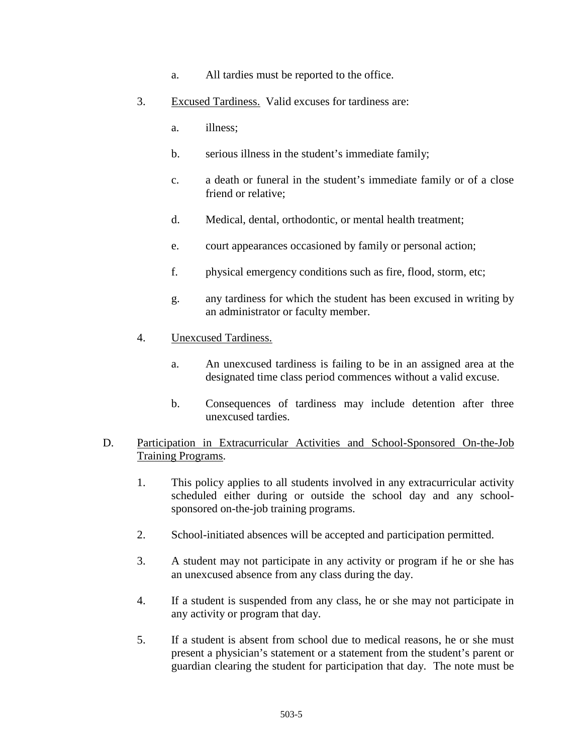- a. All tardies must be reported to the office.
- 3. Excused Tardiness. Valid excuses for tardiness are:
	- a. illness;
	- b. serious illness in the student's immediate family;
	- c. a death or funeral in the student's immediate family or of a close friend or relative;
	- d. Medical, dental, orthodontic, or mental health treatment;
	- e. court appearances occasioned by family or personal action;
	- f. physical emergency conditions such as fire, flood, storm, etc;
	- g. any tardiness for which the student has been excused in writing by an administrator or faculty member.
- 4. Unexcused Tardiness.
	- a. An unexcused tardiness is failing to be in an assigned area at the designated time class period commences without a valid excuse.
	- b. Consequences of tardiness may include detention after three unexcused tardies.

# D. Participation in Extracurricular Activities and School-Sponsored On-the-Job Training Programs.

- 1. This policy applies to all students involved in any extracurricular activity scheduled either during or outside the school day and any schoolsponsored on-the-job training programs.
- 2. School-initiated absences will be accepted and participation permitted.
- 3. A student may not participate in any activity or program if he or she has an unexcused absence from any class during the day.
- 4. If a student is suspended from any class, he or she may not participate in any activity or program that day.
- 5. If a student is absent from school due to medical reasons, he or she must present a physician's statement or a statement from the student's parent or guardian clearing the student for participation that day. The note must be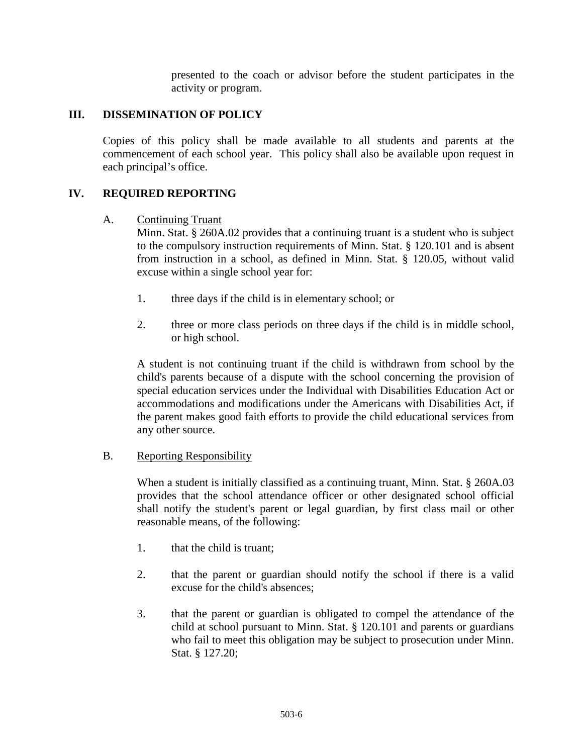presented to the coach or advisor before the student participates in the activity or program.

# **III. DISSEMINATION OF POLICY**

Copies of this policy shall be made available to all students and parents at the commencement of each school year. This policy shall also be available upon request in each principal's office.

# **IV. REQUIRED REPORTING**

#### A. Continuing Truant

Minn. Stat. § 260A.02 provides that a continuing truant is a student who is subject to the compulsory instruction requirements of Minn. Stat. § 120.101 and is absent from instruction in a school, as defined in Minn. Stat. § 120.05, without valid excuse within a single school year for:

- 1. three days if the child is in elementary school; or
- 2. three or more class periods on three days if the child is in middle school, or high school.

A student is not continuing truant if the child is withdrawn from school by the child's parents because of a dispute with the school concerning the provision of special education services under the Individual with Disabilities Education Act or accommodations and modifications under the Americans with Disabilities Act, if the parent makes good faith efforts to provide the child educational services from any other source.

#### B. Reporting Responsibility

When a student is initially classified as a continuing truant, Minn. Stat. § 260A.03 provides that the school attendance officer or other designated school official shall notify the student's parent or legal guardian, by first class mail or other reasonable means, of the following:

- 1. that the child is truant;
- 2. that the parent or guardian should notify the school if there is a valid excuse for the child's absences;
- 3. that the parent or guardian is obligated to compel the attendance of the child at school pursuant to Minn. Stat. § 120.101 and parents or guardians who fail to meet this obligation may be subject to prosecution under Minn. Stat. § 127.20;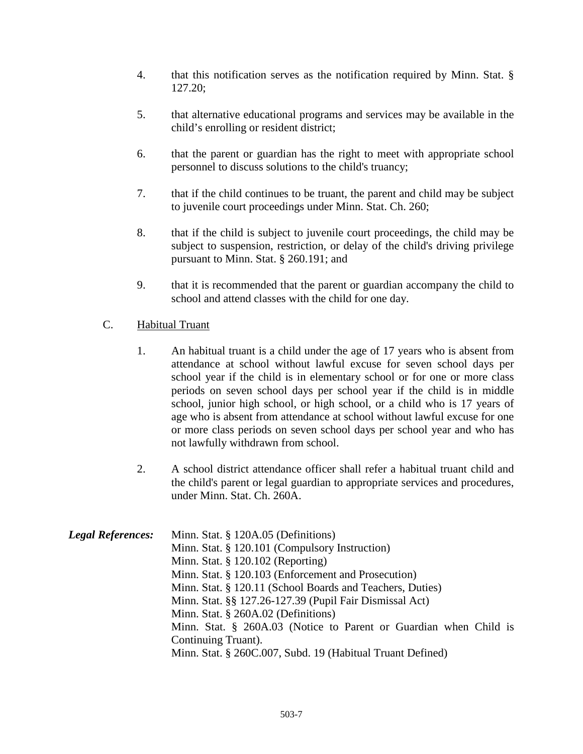- 4. that this notification serves as the notification required by Minn. Stat. § 127.20;
- 5. that alternative educational programs and services may be available in the child's enrolling or resident district;
- 6. that the parent or guardian has the right to meet with appropriate school personnel to discuss solutions to the child's truancy;
- 7. that if the child continues to be truant, the parent and child may be subject to juvenile court proceedings under Minn. Stat. Ch. 260;
- 8. that if the child is subject to juvenile court proceedings, the child may be subject to suspension, restriction, or delay of the child's driving privilege pursuant to Minn. Stat. § 260.191; and
- 9. that it is recommended that the parent or guardian accompany the child to school and attend classes with the child for one day.

# C. Habitual Truant

- 1. An habitual truant is a child under the age of 17 years who is absent from attendance at school without lawful excuse for seven school days per school year if the child is in elementary school or for one or more class periods on seven school days per school year if the child is in middle school, junior high school, or high school, or a child who is 17 years of age who is absent from attendance at school without lawful excuse for one or more class periods on seven school days per school year and who has not lawfully withdrawn from school.
- 2. A school district attendance officer shall refer a habitual truant child and the child's parent or legal guardian to appropriate services and procedures, under Minn. Stat. Ch. 260A.

| <b>Legal References:</b> | Minn. Stat. § 120A.05 (Definitions)                               |
|--------------------------|-------------------------------------------------------------------|
|                          | Minn. Stat. § 120.101 (Compulsory Instruction)                    |
|                          | Minn. Stat. $\S$ 120.102 (Reporting)                              |
|                          | Minn. Stat. § 120.103 (Enforcement and Prosecution)               |
|                          | Minn. Stat. § 120.11 (School Boards and Teachers, Duties)         |
|                          | Minn. Stat. §§ 127.26-127.39 (Pupil Fair Dismissal Act)           |
|                          | Minn. Stat. § 260A.02 (Definitions)                               |
|                          | Minn. Stat. § 260A.03 (Notice to Parent or Guardian when Child is |
|                          | Continuing Truant).                                               |
|                          | Minn. Stat. § 260C.007, Subd. 19 (Habitual Truant Defined)        |